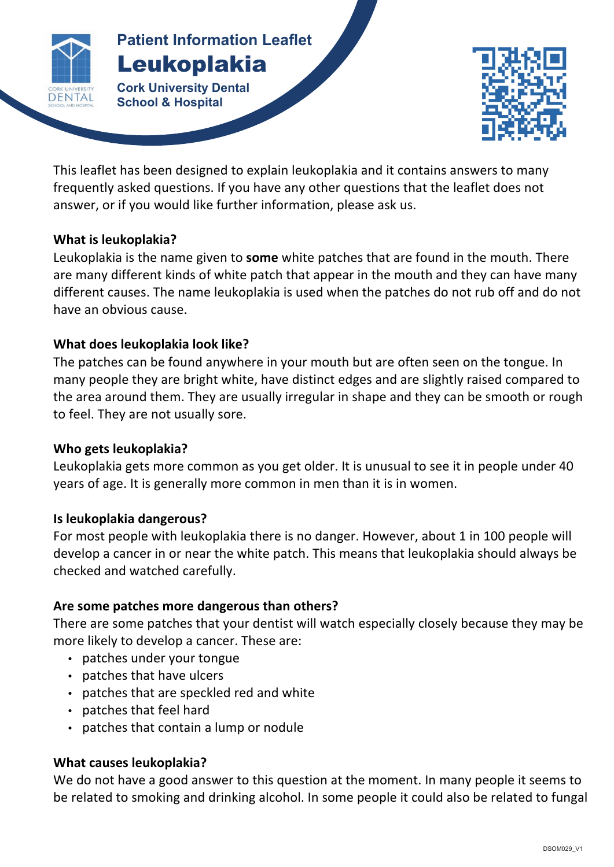

# **Patient Information Leaflet** Leukoplakia

**Cork University Dental and Cork University Dental and Cork University Dental and Corpusal and Corpusal and Corpusal and Corpusal and Corpusal and Corpusal and Corpusal and Corpusal and Corpusal and Corpusal and Corpusal a School & Hospital** 



This leaflet has been designed to explain leukoplakia and it contains answers to many frequently asked questions. If you have any other questions that the leaflet does not answer, or if you would like further information, please ask us.

#### **What is leukoplakia?**

Leukoplakia is the name given to **some** white patches that are found in the mouth. There are many different kinds of white patch that appear in the mouth and they can have many different causes. The name leukoplakia is used when the patches do not rub off and do not have an obvious cause.

# **What does leukoplakia look like?**

The patches can be found anywhere in your mouth but are often seen on the tongue. In many people they are bright white, have distinct edges and are slightly raised compared to the area around them. They are usually irregular in shape and they can be smooth or rough to feel. They are not usually sore.

#### **Who gets leukoplakia?**

Leukoplakia gets more common as you get older. It is unusual to see it in people under 40 years of age. It is generally more common in men than it is in women.

#### **Is leukoplakia dangerous?**

For most people with leukoplakia there is no danger. However, about 1 in 100 people will develop a cancer in or near the white patch. This means that leukoplakia should always be checked and watched carefully.

# Are some patches more dangerous than others?

There are some patches that your dentist will watch especially closely because they may be more likely to develop a cancer. These are:

- patches under your tongue
- patches that have ulcers
- patches that are speckled red and white
- patches that feel hard
- patches that contain a lump or nodule

# **What causes leukoplakia?**

We do not have a good answer to this question at the moment. In many people it seems to be related to smoking and drinking alcohol. In some people it could also be related to fungal